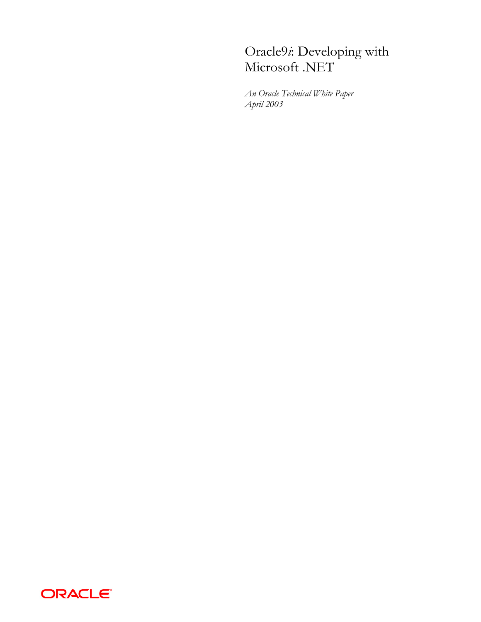# Oracle9*i*: Developing with Microsoft .NET

*An Oracle Technical White Paper April 2003* 

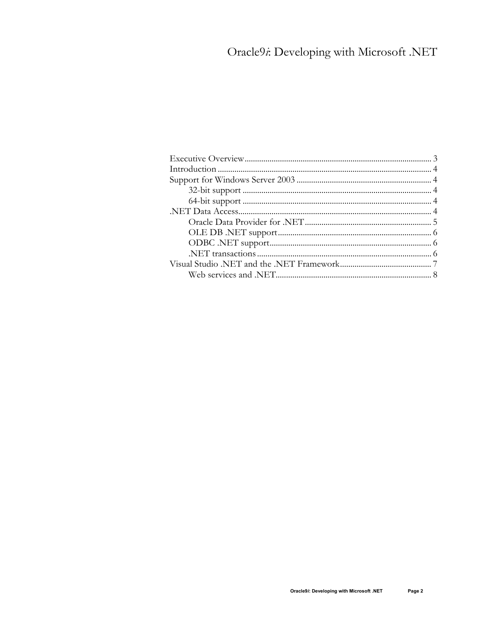# Oracle9i: Developing with Microsoft .NET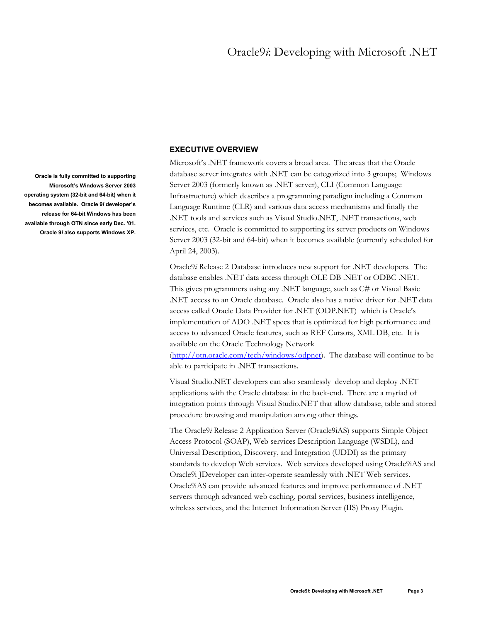## **EXECUTIVE OVERVIEW**

Microsoft's .NET framework covers a broad area. The areas that the Oracle database server integrates with .NET can be categorized into 3 groups; Windows Server 2003 (formerly known as .NET server), CLI (Common Language Infrastructure) which describes a programming paradigm including a Common Language Runtime (CLR) and various data access mechanisms and finally the .NET tools and services such as Visual Studio.NET, .NET transactions, web services, etc. Oracle is committed to supporting its server products on Windows Server 2003 (32-bit and 64-bit) when it becomes available (currently scheduled for April 24, 2003).

Oracle9*i* Release 2 Database introduces new support for .NET developers. The database enables .NET data access through OLE DB .NET or ODBC .NET. This gives programmers using any .NET language, such as C# or Visual Basic .NET access to an Oracle database. Oracle also has a native driver for .NET data access called Oracle Data Provider for .NET (ODP.NET) which is Oracle's implementation of ADO .NET specs that is optimized for high performance and access to advanced Oracle features, such as REF Cursors, XML DB, etc. It is available on the Oracle Technology Network

[\(http://otn.oracle.com/tech/windows/odpnet\)](http://otn.oracle.com/tech/windows/odpnet). The database will continue to be able to participate in .NET transactions.

Visual Studio.NET developers can also seamlessly develop and deploy .NET applications with the Oracle database in the back-end. There are a myriad of integration points through Visual Studio.NET that allow database, table and stored procedure browsing and manipulation among other things.

The Oracle9*i* Release 2 Application Server (Oracle9iAS) supports Simple Object Access Protocol (SOAP), Web services Description Language (WSDL), and Universal Description, Discovery, and Integration (UDDI) as the primary standards to develop Web services. Web services developed using Oracle9iAS and Oracle9i JDeveloper can inter-operate seamlessly with .NET Web services. Oracle9iAS can provide advanced features and improve performance of .NET servers through advanced web caching, portal services, business intelligence, wireless services, and the Internet Information Server (IIS) Proxy Plugin.

<span id="page-2-0"></span>**Oracle is fully committed to supporting Microsoft's Windows Server 2003 operating system (32-bit and 64-bit) when it becomes available. Oracle 9***i* **developer's release for 64-bit Windows has been available through OTN since early Dec. '01. Oracle 9***i* **also supports Windows XP.**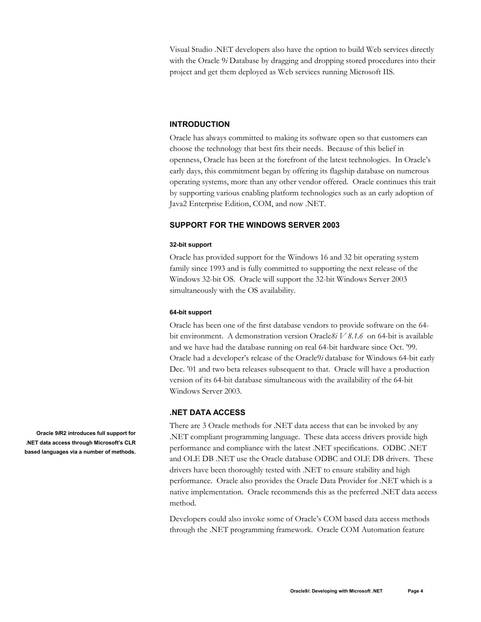<span id="page-3-0"></span>Visual Studio .NET developers also have the option to build Web services directly with the Oracle 9*i* Database by dragging and dropping stored procedures into their project and get them deployed as Web services running Microsoft IIS.

### **INTRODUCTION**

Oracle has always committed to making its software open so that customers can choose the technology that best fits their needs. Because of this belief in openness, Oracle has been at the forefront of the latest technologies. In Oracle's early days, this commitment began by offering its flagship database on numerous operating systems, more than any other vendor offered. Oracle continues this trait by supporting various enabling platform technologies such as an early adoption of Java2 Enterprise Edition, COM, and now .NET.

# **SUPPORT FOR THE WINDOWS SERVER 2003**

#### **32-bit support**

Oracle has provided support for the Windows 16 and 32 bit operating system family since 1993 and is fully committed to supporting the next release of the Windows 32-bit OS. Oracle will support the 32-bit Windows Server 2003 simultaneously with the OS availability.

#### **64-bit support**

Oracle has been one of the first database vendors to provide software on the 64 bit environment. A demonstration version Oracle*8i V 8.1.6* on 64-bit is available and we have had the database running on real 64-bit hardware since Oct. '99. Oracle had a developer's release of the Oracle9*i* database for Windows 64-bit early Dec. '01 and two beta releases subsequent to that. Oracle will have a production version of its 64-bit database simultaneous with the availability of the 64-bit Windows Server 2003.

### **.NET DATA ACCESS**

There are 3 Oracle methods for .NET data access that can be invoked by any .NET compliant programming language. These data access drivers provide high performance and compliance with the latest .NET specifications. ODBC .NET and OLE DB .NET use the Oracle database ODBC and OLE DB drivers. These drivers have been thoroughly tested with .NET to ensure stability and high performance. Oracle also provides the Oracle Data Provider for .NET which is a native implementation. Oracle recommends this as the preferred .NET data access method.

Developers could also invoke some of Oracle's COM based data access methods through the .NET programming framework. Oracle COM Automation feature

**Oracle 9***i***R2 introduces full support for .NET data access through Microsoft's CLR based languages via a number of methods.**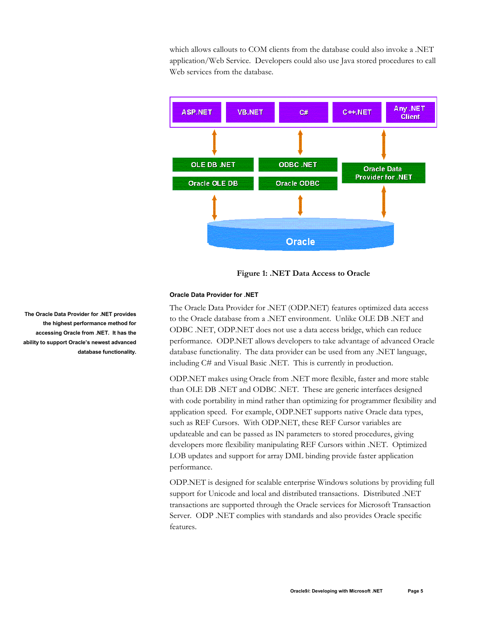<span id="page-4-0"></span>which allows callouts to COM clients from the database could also invoke a .NET application/Web Service. Developers could also use Java stored procedures to call Web services from the database.



**Figure 1: .NET Data Access to Oracle** 

## **Oracle Data Provider for .NET**

The Oracle Data Provider for .NET (ODP.NET) features optimized data access to the Oracle database from a .NET environment. Unlike OLE DB .NET and ODBC .NET, ODP.NET does not use a data access bridge, which can reduce performance. ODP.NET allows developers to take advantage of advanced Oracle database functionality. The data provider can be used from any .NET language, including C# and Visual Basic .NET. This is currently in production.

ODP.NET makes using Oracle from .NET more flexible, faster and more stable than OLE DB .NET and ODBC .NET. These are generic interfaces designed with code portability in mind rather than optimizing for programmer flexibility and application speed. For example, ODP.NET supports native Oracle data types, such as REF Cursors. With ODP.NET, these REF Cursor variables are updateable and can be passed as IN parameters to stored procedures, giving developers more flexibility manipulating REF Cursors within .NET. Optimized LOB updates and support for array DML binding provide faster application performance.

ODP.NET is designed for scalable enterprise Windows solutions by providing full support for Unicode and local and distributed transactions. Distributed .NET transactions are supported through the Oracle services for Microsoft Transaction Server. ODP .NET complies with standards and also provides Oracle specific features.

**The Oracle Data Provider for .NET provides the highest performance method for accessing Oracle from .NET. It has the ability to support Oracle's newest advanced database functionality.**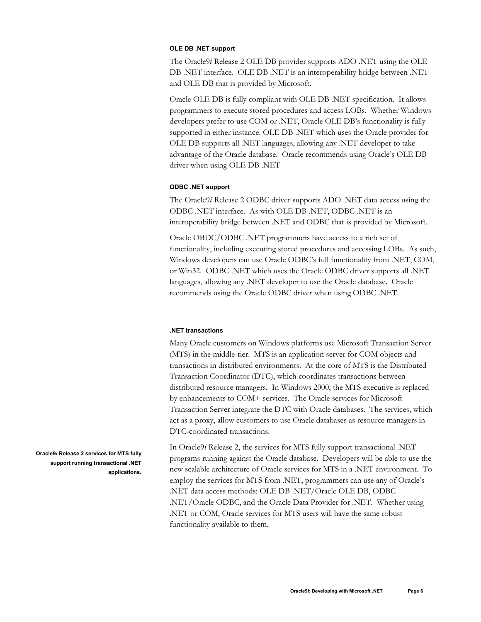### <span id="page-5-0"></span>**OLE DB .NET support**

The Oracle9*i* Release 2 OLE DB provider supports ADO .NET using the OLE DB .NET interface. OLE DB .NET is an interoperability bridge between .NET and OLE DB that is provided by Microsoft.

Oracle OLE DB is fully compliant with OLE DB .NET specification. It allows programmers to execute stored procedures and access LOBs. Whether Windows developers prefer to use COM or .NET, Oracle OLE DB's functionality is fully supported in either instance. OLE DB .NET which uses the Oracle provider for OLE DB supports all .NET languages, allowing any .NET developer to take advantage of the Oracle database. Oracle recommends using Oracle's OLE DB driver when using OLE DB .NET

#### **ODBC .NET support**

The Oracle9*i* Release 2 ODBC driver supports ADO .NET data access using the ODBC .NET interface. As with OLE DB .NET, ODBC .NET is an interoperability bridge between .NET and ODBC that is provided by Microsoft.

Oracle OBDC/ODBC .NET programmers have access to a rich set of functionality, including executing stored procedures and accessing LOBs. As such, Windows developers can use Oracle ODBC's full functionality from .NET, COM, or Win32. ODBC .NET which uses the Oracle ODBC driver supports all .NET languages, allowing any .NET developer to use the Oracle database. Oracle recommends using the Oracle ODBC driver when using ODBC .NET.

#### **.NET transactions**

Many Oracle customers on Windows platforms use Microsoft Transaction Server (MTS) in the middle-tier. MTS is an application server for COM objects and transactions in distributed environments. At the core of MTS is the Distributed Transaction Coordinator (DTC), which coordinates transactions between distributed resource managers. In Windows 2000, the MTS executive is replaced by enhancements to COM+ services. The Oracle services for Microsoft Transaction Server integrate the DTC with Oracle databases. The services, which act as a proxy, allow customers to use Oracle databases as resource managers in DTC-coordinated transactions.

In Oracle9*i* Release 2, the services for MTS fully support transactional .NET programs running against the Oracle database. Developers will be able to use the new scalable architecture of Oracle services for MTS in a .NET environment. To employ the services for MTS from .NET, programmers can use any of Oracle's .NET data access methods: OLE DB .NET/Oracle OLE DB, ODBC .NET/Oracle ODBC, and the Oracle Data Provider for .NET. Whether using .NET or COM, Oracle services for MTS users will have the same robust functionality available to them.

**Oracle9***i* **Release 2 services for MTS fully support running transactional .NET applications.**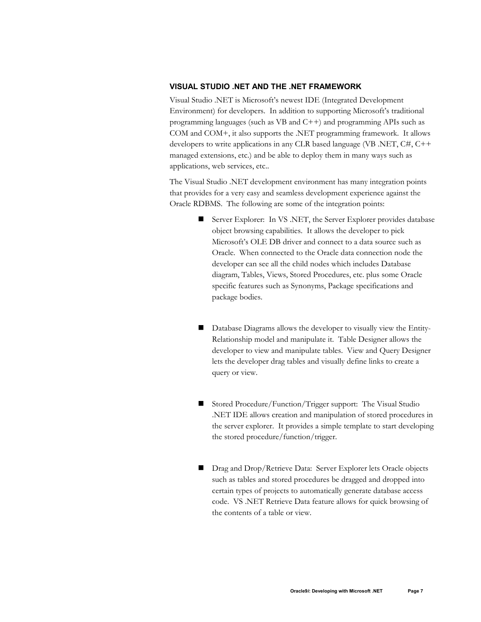# <span id="page-6-0"></span>**VISUAL STUDIO .NET AND THE .NET FRAMEWORK**

Visual Studio .NET is Microsoft's newest IDE (Integrated Development Environment) for developers. In addition to supporting Microsoft's traditional programming languages (such as VB and C++) and programming APIs such as COM and COM+, it also supports the .NET programming framework. It allows developers to write applications in any CLR based language (VB .NET, C#, C++ managed extensions, etc.) and be able to deploy them in many ways such as applications, web services, etc..

The Visual Studio .NET development environment has many integration points that provides for a very easy and seamless development experience against the Oracle RDBMS. The following are some of the integration points:

- Server Explorer: In VS .NET, the Server Explorer provides database object browsing capabilities. It allows the developer to pick Microsoft's OLE DB driver and connect to a data source such as Oracle. When connected to the Oracle data connection node the developer can see all the child nodes which includes Database diagram, Tables, Views, Stored Procedures, etc. plus some Oracle specific features such as Synonyms, Package specifications and package bodies.
- Database Diagrams allows the developer to visually view the Entity-Relationship model and manipulate it. Table Designer allows the developer to view and manipulate tables. View and Query Designer lets the developer drag tables and visually define links to create a query or view.
- Stored Procedure/Function/Trigger support: The Visual Studio .NET IDE allows creation and manipulation of stored procedures in the server explorer. It provides a simple template to start developing the stored procedure/function/trigger.
- Drag and Drop/Retrieve Data: Server Explorer lets Oracle objects such as tables and stored procedures be dragged and dropped into certain types of projects to automatically generate database access code. VS .NET Retrieve Data feature allows for quick browsing of the contents of a table or view.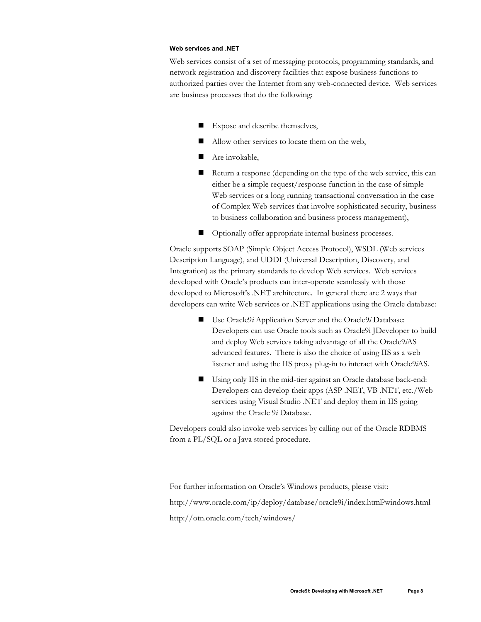#### <span id="page-7-0"></span>**Web services and .NET**

Web services consist of a set of messaging protocols, programming standards, and network registration and discovery facilities that expose business functions to authorized parties over the Internet from any web-connected device. Web services are business processes that do the following:

- Expose and describe themselves,
- Allow other services to locate them on the web,
- Are invokable,
- Return a response (depending on the type of the web service, this can either be a simple request/response function in the case of simple Web services or a long running transactional conversation in the case of Complex Web services that involve sophisticated security, business to business collaboration and business process management),
- Optionally offer appropriate internal business processes.

Oracle supports SOAP (Simple Object Access Protocol), WSDL (Web services Description Language), and UDDI (Universal Description, Discovery, and Integration) as the primary standards to develop Web services. Web services developed with Oracle's products can inter-operate seamlessly with those developed to Microsoft's .NET architecture. In general there are 2 ways that developers can write Web services or .NET applications using the Oracle database:

- Use Oracle9*i* Application Server and the Oracle9*i* Database: Developers can use Oracle tools such as Oracle9i JDeveloper to build and deploy Web services taking advantage of all the Oracle9*i*AS advanced features. There is also the choice of using IIS as a web listener and using the IIS proxy plug-in to interact with Oracle9*i*AS.
- Using only IIS in the mid-tier against an Oracle database back-end: Developers can develop their apps (ASP .NET, VB .NET, etc./Web services using Visual Studio .NET and deploy them in IIS going against the Oracle 9*i* Database.

Developers could also invoke web services by calling out of the Oracle RDBMS from a PL/SQL or a Java stored procedure.

For further information on Oracle's Windows products, please visit: http://www.oracle.com/ip/deploy/database/oracle9i/index.html?windows.html http://otn.oracle.com/tech/windows/